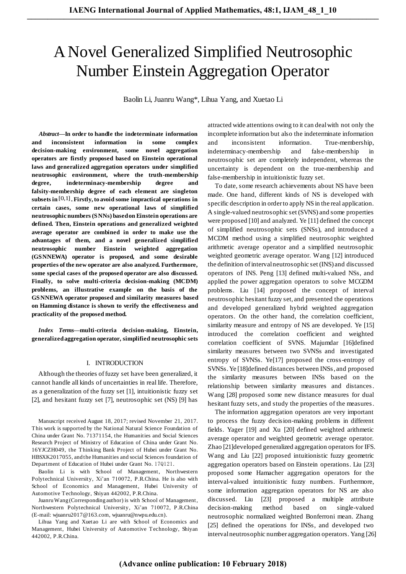# A Novel Generalized Simplified Neutrosophic Number Einstein Aggregation Operator

Baolin Li, Juanru Wang\*, Lihua Yang, and Xuetao Li

*Abstract***—In order to handle the indeterminate information and inconsistent information in some complex decision-making environment, some novel aggregation operators are firstly proposed based on Einstein operational laws and generalized aggregation operators under simplified neutrosophic environment, where the truth-membership degree, indeterminacy-membership degree and falsity-membership degree of each element are singleton subsets in** [0,1] **. Firstly, to avoid some impractical operations in certain cases, some new operational laws of simplified neutrosophic numbers (SNNs) based on Einstein operations are defined. Then, Einstein operations and generalized weighted average operator are combined in order to make use the advantages of them, and a novel generalized simplified neutrosophic number Einstein weighted aggregation (GSNNEWA) operator is proposed, and some desirable properties of the new operator are also analyzed. Furthermore, some special cases of the proposed operator are also discussed.**  Finally, to solve multi-criteria decision-making (MCDM) **problems, an illustrative example on the basis of the GSNNEWA operator proposed and similarity measures based on Hamming distance is shown to verify the effectiveness and practicality of the proposed method.** 

*Index Terms***—multi-criteria decision-making, Einstein, generalized aggregation operator, simplified neutrosophic sets** 

## I. INTRODUCTION

Although the theories of fuzzy set have been generalized, it cannot handle all kinds of uncertainties in real life. Therefore, as a generalization of the fuzzy set [\[1\],](#page-5-0) intuitionistic fuzzy set [\[2\],](#page-5-1) and hesitant fuzzy set [\[7\],](#page-5-2) neutrosophic set (NS) [\[9\]](#page-5-3) has

Manuscript received August 18, 2017; revised November 21, 2017. This work is supported by the National Natural Science Foundation of China under Grant No. 71371154, the Humanities and Social Sciences Research Project of Ministry of Education of China under Grant No. 16YJCZH049, the Thinking Bank Project of Hubei under Grant No. HBSXK2017055, and the Humanities and social Sciences foundation of Department of Education of Hubei under Grant No. 17Q121.

Baolin Li is with School of Management, Northwestern Polytechnical University, Xi'an 710072, P.R.China. He is also with School of Economics and Management, Hubei University of Automotive Technology, Shiyan 442002, P.R.China.

Juanru Wang (Corresponding author) is with School of Management, Northwestern Polytechnical University, Xi'an 710072, P.R.China (E-mail[: wjuanru2017@163.com,](mailto:wjuanru2017@163.com) wjuanru@nwpu.edu.cn).

Lihua Yang and Xuetao Li are with School of Economics and Management, Hubei University of Automotive Technology, Shiyan 442002, P.R.China.

attracted wide attentions owing to it can deal with not only the incomplete information but also the indeterminate information and inconsistent information. True-membership, indeterminacy-membership and false-membership in neutrosophic set are completely independent, whereas the uncertainty is dependent on the true-membership and false-membership in intuitionistic fuzzy set.

To date, some research achievements about NS have been made. One hand, different kinds of NS is developed with specific description in order to apply NS in the real application. A single-valued neutrosophic set (SVNS) and some properties were propose[d \[10\]](#page-5-4) and analyzed. Ye [\[11\]](#page-5-5) defined the concept of simplified neutrosophic sets (SNSs), and introduced a MCDM method using a simplified neutrosophic weighted arithmetic average operator and a simplified neutrosophic weighted geometric average operator. Wang [\[12\]](#page-5-6) introduced the definition of interval neutrosophic set (INS) and discussed operators of INS. Peng [\[13\]](#page-5-7) defined multi-valued NSs, and applied the power aggregation operators to solve MCGDM problems. Liu [\[14\]](#page-5-8) proposed the concept of interval neutrosophic hesitant fuzzy set, and presented the operations and developed generalized hybrid weighted aggregation operators. On the other hand, the correlation coefficient, similarity measure and entropy of NS are developed. Ye [\[15\]](#page-5-9) introduced the correlation coefficient and weighted correlation coefficient of SVNS. Majumdar [\[16\]d](#page-5-10)efined similarity measures between two SVNSs and investigated entropy of SVNSs. Y[e\[17\]](#page-5-11) proposed the cross-entropy of SVNSs. Ye [\[18\]d](#page-5-12)efined distances between INSs, and proposed the similarity measures between INSs based on the relationship between similarity measures and distances. Wang [28] proposed some new distance measures for dual hesitant fuzzy sets, and study the properties of the measures.

The information aggregation operators are very important to process the fuzzy decision-making problems in different fields. Yager [\[19\]](#page-5-13) and Xu [\[20\]](#page-5-14) defined weighted arithmetic average operator and weighted geometric average operator. Zha[o \[21\]d](#page-5-15)eveloped generalized aggregation operators for IFS. Wang and Liu [\[22\]](#page-5-16) proposed intuitionistic fuzzy geometric aggregation operators based on Einstein operations. Liu [\[23\]](#page-5-17) proposed some Hamacher aggregation operators for the interval-valued intuitionistic fuzzy numbers. Furthermore, some information aggregation operators for NS are also discussed. Liu [\[23\]](#page-5-17) proposed a multiple attribute decision-making method based on single-valued neutrosophic normalized weighted Bonferroni mean. Zhang [\[25\]](#page-5-18) defined the operations for INSs, and developed two interval neutrosophic number aggregation operators. Yang [26]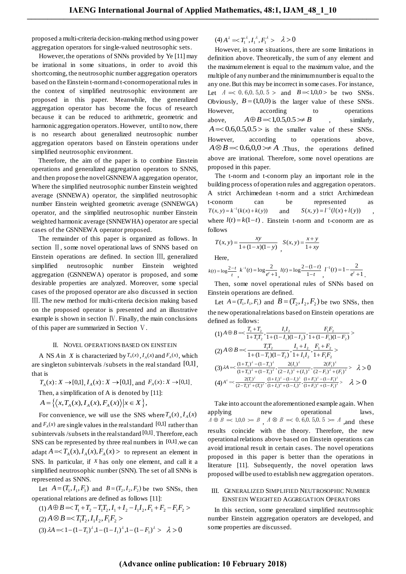proposed a multi-criteria decision-making method using power aggregation operators for single-valued neutrosophic sets.

However, the operations of SNNs provided by Ye [11] may be irrational in some situations, in order to avoid this shortcoming, the neutrosophic number aggregation operators based on the Einstein t-norm and t-conorm operational rules in the context of simplified neutrosophic environment are proposed in this paper. Meanwhile, the generalized aggregation operator has become the focus of research because it can be reduced to arithmetric, geometric and harmonic aggregation operators. However, until to now, there is no research about generalized neutrosophic number aggregation operators based on Einstein operations under simplified neutrosophic environment.

Therefore, the aim of the paper is to combine Einstein operations and generalized aggregation operators to SNNS, and then propose the novel GSNNEWA aggregation operator, Where the simplified neutrosophic number Einstein weighted average (SNNEWA) operator, the simplified neutrosophic number Einstein weighted geometric average (SNNEWGA) operator, and the simplified neutrosophic number Einstein weighted harmonic average (SNNEWHA) operator are special cases of the GSNNEWA operator proposed.

The remainder of this paper is organized as follows. In section Ⅱ, some novel operational laws of SNNS based on Einstein operations are defined. In section Ⅲ, generalized simplified neutrosophic number Einstein weighted aggregation (GSNNEWA) operator is proposed, and some desirable properties are analyzed. Moreover, some special cases of the proposed operator are also discussed in section Ⅲ. The new method for multi-criteria decision making based on the proposed operator is presented and an illustrative example is shown in section Ⅳ. Finally, the main conclusions of this paper are summarized in Section Ⅴ.

# II. NOVEL OPERATIONS BASED ON EINSTEIN

A NS *A* in *X* is characterized by  $T_A(x)$ ,  $I_A(x)$  and  $F_A(x)$ , which are singleton subintervals /subsets in the real standard [0,1], that is

 $T_A(x): X \to [0,1], I_A(x): X \to [0,1], \text{ and } F_A(x): X \to [0,1].$ Then, a simplification of A is denoted by [11]:  $A = \{ \langle x, T_A(x), I_A(x), F_A(x) \rangle | x \in X \},\$ 

For convenience, we will use the SNS where  $T_A(x)$ ,  $I_A(x)$ and  $F_A(x)$  are single values in the real standard  $[0,1]$  rather than subintervals / subsets in the real standard [0,1]. Therefore, each SNS can be represented by three real numbers in [0,1], we can adapt  $A = \langle T_A(x), I_A(x), F_A(x) \rangle$  to represent an element in SNS. In particular, if *X* has only one element, and call it a simplified neutrosophic number (SNN). The set of all SNNs is represented as SNNS.

Let  $A = (T_1, I_1, F_1)$  and  $B = (T_2, I_2, F_2)$  be two SNSs, then operational relations are defined as follows [11]:

$$
(1) A \oplus B \le T_1 + T_2 - T_1 T_2, I_1 + I_2 - I_1 I_2, F_1 + F_2 - F_1 F_2 >
$$
  
\n
$$
(2) A \otimes B \le T_1 T_2, I_1 I_2, F_1 F_2 >
$$
  
\n
$$
(3) \lambda A \le I - (1 - T_1)^{\lambda}, I - (1 - I_1)^{\lambda}, I - (1 - F_1)^{\lambda} > \lambda > 0
$$

 $(4) A^{\lambda} = T_1^{\lambda}, I_1^{\lambda}, F_1^{\lambda} > \lambda > 0$ 

However, in some situations, there are some limitations in definition above. Theoretically, the sum of any element and the maximum element is equal to the maximum value, and the multiple of any number and the minimum number is equal to the any one. But this may be incorrect in some cases. For instance, Let  $A \approx 0.6, 0.5, 0.5 >$  and  $B = 1,0,0 >$  be two SNSs. Obviously,  $B = (1,0,0)$  is the larger value of these SNSs. However, according to operations above,  $A \oplus B = 1,0.5,0.5 \geq B$ , similarly,  $A = 0.6, 0.5, 0.5 >$  is the smaller value of these SNSs. However, according to operations above,  $A \otimes B = 0.6, 0, 0 \rightarrow A$  Thus, the operations defined above are irrational. Therefore, some novel operations are proposed in this paper.

The t-norm and t-conorm play an important role in the building process of operation rules and aggregation operators. A strict Archimedean t-norm and a strict Archimedean t-conorm can be represented as  $T(x, y) = k^{-1}(k(x) + k(y))$ and  $S(x, y) = l^{-1}(l(x) + l(y))$ , where  $l(t) = k(1-t)$ . Einstein t-norm and t-conorm are as follows

$$
T(x, y) = \frac{xy}{1 + (1 - x)(1 - y)}
$$
,  $S(x, y) = \frac{x + y}{1 + xy}$ 

Here,

$$
k(t) = \log \frac{2-t}{t}, \, k^{-1}(t) = \log \frac{2}{e^t + 1}, \, l(t) = \log \frac{2 - (1-t)}{1 - t}, \, l^{-1}(t) = 1 - \frac{2}{e^t + 1}.
$$

Then, some novel operational rules of SNNs based on Einstein operations are defined.

Let  $A = (T_1, I_1, F_1)$  and  $B = (T_2, I_2, F_2)$  be two SNSs, then the new operational relations based on Einstein operations are defined as follows:

$$
(1) A \oplus B \le \frac{T_1 + T_2}{1 + T_1 T_2}, \frac{I_1 I_2}{1 + (1 - I_1)(1 - I_2)}, \frac{F_1 F_2}{1 + (1 - F_1)(1 - F_2)}>
$$
  
\n
$$
(2) A \otimes B \le \frac{T_1 T_2}{1 + (1 - T_1)(1 - T_2)}, \frac{I_1 + I_2}{1 + I_1 T_2}, \frac{F_1 + F_2}{1 + F_1 F_2}
$$
  
\n
$$
(3) \lambda A \le \frac{(1 + T_1)^{\lambda} - (1 - T_1)^{\lambda}}{(1 + T_1)^{\lambda} + (1 - T_1)^{\lambda}}, \frac{2(I_1)^{\lambda}}{(2 - I_1)^{\lambda} + (I_1)^{\lambda}}, \frac{2(F_1)^{\lambda}}{(2 - F_1)^{\lambda} + (F_1)^{\lambda}} > \lambda > 0
$$
  
\n
$$
(4) A^{\lambda} \le \frac{2(T_1)^{\lambda}}{(2 - T_1)^{\lambda} + (T_1)^{\lambda}} \frac{(1 + I_1)^{\lambda} - (1 - I_1)^{\lambda}}{(1 + I_1)^{\lambda} + (1 - I_1)^{\lambda}}, \frac{(1 + F_1)^{\lambda} - (1 - F_1)^{\lambda}}{(1 + F_1)^{\lambda} + (1 - F_1)^{\lambda}} > \lambda > 0
$$

Take into account the aforementioned example again. When applying new operational laws,  $A \oplus B \implies 1,0,0 \implies B, A \otimes B \implies 0.6,0.5,0.5 \implies A, \text{and these}$ results coincide with the theory. Therefore, the new operational relations above based on Einstein operations can avoid irrational result in certain cases. The novel operations proposed in this paper is better than the operations in literature [11]. Subsequently, the novel operation laws proposed will be used to establish new aggregation operators.

## III. GENERALIZED SIMPLIFIED NEUTROSOPHIC NUMBER EINSTEIN WEIGHTED AGGREGATION OPERATORS

In this section, some generalized simplified neutrosophic number Einstein aggregation operators are developed, and some properties are discussed.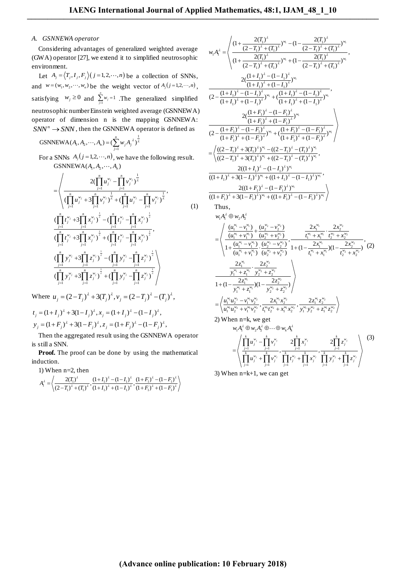$\equiv$ 

## *A. GSNNEWA operator*

Considering advantages of generalized weighted average (GWA) operator [27], we extend it to simplified neutrosophic environment.

Let  $A_j = \langle T_j, I_j, F_j \rangle$  (*j* = 1, 2,  $\cdots$ , *n*) be a collection of SNNs, and  $w = (w_1, w_2, \dots, w_n)$  be the weight vector of  $A_j$  ( $j = 1, 2, \dots, n$ ), satisfying  $w_j \ge 0$  and  $\sum_{j=1}^j w_j = 1$ *n*  $\sum_{j=1}^{N} w_j = 1$ . The generalized simplified neutrosophic number Einstein weighted average (GSNNEWA) operator of dimension n is the mapping GSNNEWA:  $SNN^n \rightarrow SNN$ , then the GSNNEWA operator is defined as

**GSNNEWA** 
$$
(A_1, A_2, \dots, A_n) = (\sum_{j=1}^n w_j A_j^{\lambda})^{\frac{1}{\lambda}}
$$

For a SNNs  $A_j$   $(j=1,2,\dots,n)$ , we have the following result. SNNs  $A_j$   $(j = 1, 2, \dots, n)$ , we<br>
GSNNEWA( $A_1, A_2, \dots, A_n$ )  $(A_1, A_2, \cdots, A_n)$ 

GSNNEWA(
$$
A_1, A_2, \dots, A_n
$$
)  
\n=
$$
\left\langle \frac{2(\prod_{j=1}^n u_j^{w_j} - \prod_{j=1}^n v_j^{w_j})^{\frac{1}{\lambda}}}{(\prod_{j=1}^n u_j^{w_j} + 3\prod_{j=1}^n v_j^{w_j})^{\frac{1}{\lambda}} + (\prod_{j=1}^n u_j^{w_j} - \prod_{j=1}^n v_j^{w_j})^{\frac{1}{\lambda}}}, \right\langle \prod_{j=1}^n t_j^{w_j} + 3\prod_{j=1}^n x_j^{w_j}\rangle^{\frac{1}{\lambda}} - (\prod_{j=1}^n t_j^{w_j} - \prod_{j=1}^n x_j^{w_j})^{\frac{1}{\lambda}} \right\rangle
$$
\n(
$$
\frac{\prod_{j=1}^n t_j^{w_j} + 3\prod_{j=1}^n x_j^{w_j}\Gamma_j^{\frac{1}{\lambda}} + (\prod_{j=1}^n t_j^{w_j} - \prod_{j=1}^n x_j^{w_j})^{\frac{1}{\lambda}}}{(\prod_{j=1}^n y_j^{w_j} + 3\prod_{j=1}^n z_j^{w_j})^{\frac{1}{\lambda}} - (\prod_{j=1}^n y_j^{w_j} - \prod_{j=1}^n z_j^{w_j})^{\frac{1}{\lambda}} \right\rangle}
$$
\n(
$$
\frac{\prod_{j=1}^n y_j^{w_j} + 3\prod_{j=1}^n z_j^{w_j}}{\prod_{j=1}^n y_j^{w_j} + 3\prod_{j=1}^n z_j^{w_j}} \frac{\prod_{j=1}^n y_j^{w_j} - \prod_{j=1}^n z_j^{w_j}}{\prod_{j=1}^n y_j^{w_j} - \prod_{j=1}^n z_j^{w_j}} \right\rangle
$$

Where  $u_j = (2 - T_j)^{\lambda} + 3(T_j)^{\lambda}$ ,  $v_j = (2 - T_j)^{\lambda} - (T_j)^{\lambda}$ ,

$$
\begin{aligned} \n\text{where } u_j &= (2 - I_j) + 3(I_j), \, v_j = (2 - I_j) - (I_j) \;, \\ \nt_j &= (1 + I_j)^{\lambda} + 3(1 - I_j)^{\lambda}, \, x_j = (1 + I_j)^{\lambda} - (1 - I_j)^{\lambda}, \\ \ny_j &= (1 + F_j)^{\lambda} + 3(1 - F_j)^{\lambda}, \, z_j = (1 + F_j)^{\lambda} - (1 - F_j)^{\lambda}, \end{aligned}
$$

Then the aggregated result using the GSNNEWA operator is still a SNN.

**Proof.** The proof can be done by using the mathematical induction.

1) When n=2, then

1) When n=2, then  
\n
$$
A_1^{\lambda} = \left\langle \frac{2(T_1)^{\lambda}}{(2-T_1)^{\lambda} + (T_1)^{\lambda}} \cdot \frac{(1+I_1)^{\lambda} - (1-I_1)^{\lambda}}{(1+I_1)^{\lambda} + (1-I_1)^{\lambda}} \cdot \frac{(1+F_1)^{\lambda} - (1-F_1)^{\lambda}}{(1+F_1)^{\lambda} + (1-F_1)^{\lambda}} \right\rangle
$$

$$
w_{i}A_{i}^{\lambda} = \begin{cases} \frac{(1 + \frac{2(T_{i})^{\lambda}}{(2 - T_{i})^{\lambda} + (T_{i})^{\lambda}})^{w_{i}} - (1 - \frac{2(T_{i})^{\lambda}}{(2 - T_{i})^{\lambda} + (T_{i})^{\lambda}})^{w_{i}} \\ \frac{2(T_{i})^{\lambda}}{(1 + \frac{2(T_{i})^{\lambda}}{(2 - T_{i})^{\lambda} + (T_{i})^{\lambda}})^{w_{i}} + (1 - \frac{2(T_{i})^{\lambda}}{(2 - T_{i})^{\lambda} + (T_{i})^{\lambda}})^{w_{i}} \\ \frac{2(\frac{(1 + I_{i})^{\lambda} - (1 - I_{i})^{\lambda}}{(1 + I_{i})^{\lambda} + (1 - I_{i})^{\lambda}})^{w_{i}}}{(1 + I_{i})^{\lambda} + (1 - I_{i})^{\lambda}} \\ \frac{2(\frac{(1 + I_{i})^{\lambda}}{(1 + I_{i})^{\lambda} + (1 - I_{i})^{\lambda}})^{w_{i}} + (\frac{(1 + I_{i})^{\lambda} - (1 - I_{i})^{\lambda}}{(1 + I_{i})^{\lambda} + (1 - I_{i})^{\lambda}})^{w_{i}} \\ \frac{2(\frac{(1 + I_{i})^{\lambda}}{(1 + I_{i})^{\lambda} + (1 - I_{i})^{\lambda}})^{w_{i}} + (\frac{(1 + I_{i})^{\lambda} - (1 - I_{i})^{\lambda}}{(1 + I_{i})^{\lambda} + (1 - I_{i})^{\lambda}})^{w_{i}}}{(1 + I_{i})^{\lambda} + (1 - I_{i})^{\lambda}} \end{cases}
$$
\n
$$
= \begin{cases} \frac{((2 - T_{i})^{\lambda} + 3(T_{i})^{\lambda})^{w_{i}} - ((2 - T_{i})^{\lambda} - (1 - I_{i})^{\lambda}}{(1 + I_{i})^{\lambda} + (1 - I_{i})^{\lambda}})^{w_{i}}}{((1 + I_{i})^{\lambda} + 3(T_{i})^{\lambda})^{w_{i}} + ((2 - T_{i})^{\lambda} - (1 - I_{i})^{\lambda}})^{w_{i}}}, \\ \frac{2((1 + I_{i})^{\lambda} + 3(T_{i})^{\lambda})^{w_{i}} + ((2 - T_{i})^{\lambda} - (1 - I_{i})^{\lambda}})^{w_{i}}}{((1 + I_{i})^{\lambda} + 3(T_{i})^{\
$$

3) When  $n=k+1$ , we can get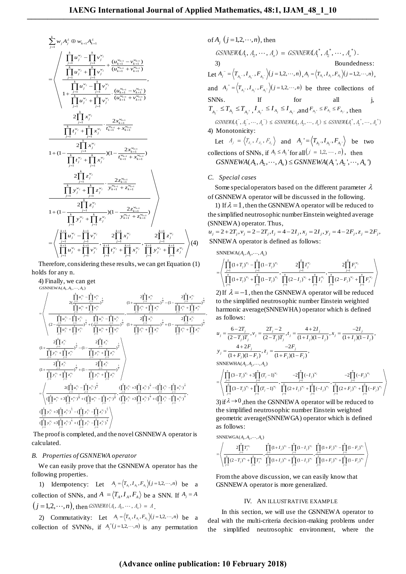$$
\sum_{j=1}^{k} w_{j} A_{j}^{\lambda} \oplus w_{k+1} A_{k+1}^{\lambda}
$$
\n
$$
= \left\langle \frac{\prod_{j=1}^{k} u_{j}^{w_{j}} - \prod_{j=1}^{k} v_{j}^{w_{j}}}{\prod_{j=1}^{k} u_{j}^{w_{j}} + \prod_{j=1}^{k} v_{j}^{w_{j}} + \frac{(u_{k+1}^{w_{k+1}} - v_{k+1}^{w_{k+1}})}{(u_{k+1}^{w_{k+1}} + v_{k+1}^{w_{k+1}})}}, \frac{\prod_{j=1}^{k} u_{j}^{w_{j}} - \prod_{j=1}^{k} v_{j}^{w_{j}}}{\prod_{j=1}^{k} u_{j}^{w_{j}} + \prod_{j=1}^{k} v_{j}^{w_{j}} + \frac{(u_{k+1}^{w_{k+1}} - v_{k+1}^{w_{k+1}})}{(u_{k+1}^{w_{k+1}} + v_{k+1}^{w_{k+1}})}}, \frac{2\prod_{j=1}^{k} x_{j}^{w_{j}}}{\prod_{j=1}^{k} t_{j}^{w_{j}} + \prod_{j=1}^{k} x_{j}^{w_{j}} + \frac{2x_{k+1}^{w_{k+1}}}{t_{k+1}^{w_{k+1}} + x_{k+1}^{w_{k+1}}}} \frac{2\prod_{j=1}^{k} x_{j}^{w_{j}}}{\prod_{j=1}^{k} t_{j}^{w_{j}} + \prod_{j=1}^{k} x_{j}^{w_{j}}}, \frac{2x_{k+1}^{w_{k+1}}}{t_{k+1}^{w_{k+1}} + x_{k+1}^{w_{k+1}}}
$$
\n
$$
1 + (1 - \frac{\sum_{j=1}^{k} x_{j}^{w_{j}}}{\prod_{j=1}^{k} y_{j}^{w_{j}} + \prod_{j=1}^{k} x_{j}^{w_{j}}}, \frac{2z_{k+1}^{w_{k+1}}}{2z_{k+1}^{w_{k+1}} + z_{k+1}^{w_{k+1}}}
$$
\n
$$
1 + (1 - \frac{\sum_{j=1}^{k} z_{j}^{w_{j}}}{\prod_{j=1}^{k} y_{j}^{w_{j}} + \prod_{j=1}^{k} z_{j}^{w_{j}}},
$$

Therefore, considering these results, we can get Equation (1) holds for any n. lds for any n.<br>4) Finally, we can get<br>  $\frac{1}{\text{GSNNEWA}(A_1, A_2, \dots, A_n)}$ 

GSNNEWA $(A_1, A_2, \cdots, A_n)$ 

Hencefore, considering these results, we can get  
\ndls for any n.  
\n4) Finally, we can get  
\nds<sub>1</sub> is a  
\nds<sub>1</sub> is a  
\nds<sub>2</sub> is a  
\n
$$
\frac{\int_{2}^{1} u_{ij}^{w_j} - \int_{1}^{k} v_{ij}^{w_j}}{2(1 + \frac{1}{\int_{1}^{k-1} u_{ij}^{w_j} - \int_{1}^{k} v_{ij}^{w_j}})^{\frac{1}{k}}}
$$
\n
$$
= \begin{cases}\n\frac{\int_{1}^{k} u_{ij}^{w_j} - \int_{1}^{k} v_{ij}^{w_j}}{2(1 + \frac{1}{\int_{1}^{k-1} u_{ij}^{w_j} - \int_{1}^{k} v_{ij}^{w_j}})^{\frac{1}{k}}}{(2 - \frac{1}{\int_{1}^{k-1} u_{ij}^{w_j} + \int_{1}^{k} v_{ij}^{w_j}})^{\frac{1}{k}}}, \frac{2 \int_{1}^{k} f_{ij}^{w_j}}{(\int_{1}^{k} u_{ij}^{w_j} + \int_{1}^{k} v_{ij}^{w_j}})^{\frac{1}{k}}}{(\int_{1}^{k} u_{ij}^{w_j} + \int_{1}^{k} v_{ij}^{w_j}})^{\frac{1}{k}}}, \frac{2 \int_{1}^{k} f_{ij}^{w_j}}{(\int_{1}^{k} u_{ij}^{w_j} + \int_{1}^{k} v_{ij}^{w_j}})^{\frac{1}{k}}}, \frac{2 \int_{1}^{k} f_{ij}^{w_j}}{2(1 + \frac{1}{\int_{1}^{k} u_{ij}^{w_j} + \int_{1}^{k} v_{ij}^{w_j}})^{\frac{1}{k}}}, \frac{2 \int_{1}^{k} f_{ij}^{w_j}}{(\int_{1}^{k} u_{ij}^{w_j} + \int_{1}^{k} v_{ij}^{w_j}})^{\frac{1}{k}}}, \frac{2 \int_{1}^{k} f_{ij}^{w_j}}{(\int_{1}^{k} u_{ij}^{w_j} + \int_{1}^{k} v_{ij}^{w_j}})^{\frac{1}{k}}}, \frac{2 \int_{1}^{k} f_{ij}^{w_j}}{(\int_{1}^{k} u_{ij}^{w_j} + \int_{1}^{k} v_{ij}^{w_j}})^{\frac{1}{k}}}, \frac{2 \int_{1}^{k} f_{
$$

 The proof is completed, and the novel GSNNEWA operator is calculated.

## *B. Properties of GSNNEWA operator*

We can easily prove that the GSNNEWA operator has the following properties.

1) Idempotency: Let  $A_j = \langle T_{A_j}, I_{A_j}, F_{A_j} \rangle (j=1,2,\dots,n)$  be a collection of SNNs, and  $A = \langle T_A, I_A, F_A \rangle$  be a SNN. If  $A_j = A$  $(j=1,2,\cdots,n)$ , then GSNNEWA  $(A_1, A_2, \cdots, A_n) = A$ .

2) Commutativity: Let  $A_j = \langle T_{A_j}, I_{A_j}, F_{A_j} \rangle (j=1,2,\dots,n)$  be a collection of SVNNs, if  $A_j^*(j=1,2,\dots,n)$  is any permutation

of  $A_j$   $(j = 1, 2, \dots, n)$ , then  $GSNNEWA, A_1, A_2, \cdots, A_n$ ) =  $GSNNEWAA_1^*, A_2^*, \cdots, A_n^*$ ). 3) Boundedness: Let  $A_j^- = \left\langle T_{A_j^-}, I_{A_j^-}, F_{A_j^-} \right\rangle (j = 1, 2, \cdots, n), A_j = \left\langle T_{A_j}, I_{A_j}, F_{A_j} \right\rangle (j = 1, 2, \cdots, n),$ and  $A_j^+ = \left\langle T_{A_j^+}, I_{A_j^+}, F_{A_j^+}\right\rangle \left( j = 1, 2, \dots, n \right)$  be three collections of SNNs. If for all j,  $T_{A_{j}^{-}} \leq T_{A_{j}} \leq T_{A_{j}^{+}}, I_{A_{j}^{+}} \leq I_{A_{j}} \leq I_{A_{j}^{-}},$  and  $F_{A_{j}^{+}} \leq F_{A_{j}} \leq F_{A_{j}^{-}},$  then  $GSNNEWA_{1}^{-}, A_{2}^{-}, \cdots, A_{n}^{-}) \leq GSNNEWA_{1}A_{1}A_{2}^{+}, \cdots, A_{n}^{+} \leq GSNNEWA_{1}A_{1}^{+}, A_{2}^{+}, \cdots, A_{n}^{+}$ 4) Monotonicity: Let  $A_j = \langle T_{A_j}, I_{A_j}, F_{A_j} \rangle$  and  $A_j' = \langle T_{A_j}, I_{A_j}, F_{A_j'} \rangle$  be two collections of SNNs, if  $A_j \leq A_j$  for all  $(j = 1, 2, \dots, n)$ , then Lettions of SNNs, if  $A_j \le A_j$  for all  $(j = 1, 2, \dots, n)$ , then<br>GSNNEWA( $A_1, A_2, \dots, A_n$ )  $\leq$  GSNNEWA( $A_1$ ',  $A_2$ ',  $\dots, A_n$ ')

 $GSNNEWA(A_1, A_2, \cdots, A_n) \leq GSNNEWA(A_1, A_2, \cdots, A_n)$ 

# *C. Special cases*

 $\langle 4 \rangle$ 

,

Some special operators based on the different parameter  $\lambda$ of GSNNEWA operator will be discussed in the following.

1) If  $\lambda = 1$ , then the GSNNEWA operator will be reduced to the simplified neutrosophic number Einstein weighted average (SNNEWA) operator. Thus,

 $u_j = 2 + 2T_j, v_j = 2 - 2T_j, t_j = 4 - 2I_j, x_j = 2I_j, y_j = 4 - 2F_j, z_j = 2F_j,$ SNNEWA operator is defined as follows:<br>
SNNEWA operator is defined as follows:<br>
SNNEWA( $A_1, A_2, \dots, A_n$ )

$$
\text{SNNEWA}(A_1, A_2, \cdots, A_n)
$$

NEW A operator is defined as follows:  
\nSNNEWA(A<sub>1</sub>, A<sub>2</sub>,...,A<sub>n</sub>)  
\n
$$
= \left\langle \prod_{j=1}^{n} (1+T_j)^{w_j} - \prod_{j=1}^{n} (1-T_j)^{w_j} \right\rangle_{\frac{2}{j=1}} \frac{2 \prod_{j=1}^{n} I_j^{w_j}}{I_j^{w_j}} + \prod_{j=1}^{n} (2-I_j)^{w_j} + \prod_{j=1}^{n} (2-I_j)^{w_j} + \prod_{j=1}^{n} (2-I_j)^{w_j} + \prod_{j=1}^{n} (T_j - T_j)^{w_j}
$$

2) If  $\lambda = -1$ , then the GSNNEWA operator will be reduced to the simplified neutrosophic number Einstein weighted harmonic average(SNNEWHA) operator which is defined<br>as follows:<br> $u_i = \frac{6-2T_j}{2}$ ,  $v_i = \frac{2T_j - 2}{2}$ ,  $t_i = \frac{4+2T_j}{2}$ ,  $x_i = \frac{-2T_j}{2}$ ,  $x_i = \frac{2T_j}{2}$ as follows:

as follows:  
\n
$$
u_j = \frac{6-2T_j}{(2-T_j)T_j}, v_j = \frac{2T_j - 2}{(2-T_j)T_j}, t_j = \frac{4+2I_j}{(1+I_j)(1-I_j)}, x_j = \frac{-2I_j}{(1+I_j)(1-I_j)},
$$
\n
$$
y_j = \frac{4+2F_j}{(1+F_j)(1-F_j)}, z_j = \frac{-2F_j}{(1+F_j)(1-F_j)},
$$
\nSNNEWHA $(A_1, A_2, \dots, A_n)$   
\n
$$
= \left( \prod_{j=1}^n (3-T_j)^{w_j} + 3 \prod_{j=1}^n (T_j - 1)^{w_j}, \frac{-2 \prod_{j=1}^n (-I_j)^{w_j}}{n} \right), \frac{-2 \prod_{j=1}^n (-F_j)^{w_j}}{n} \right)
$$

$$
\begin{aligned}\n&\text{SNNEWHA}(A_1, A_2, \cdots, A_n) \\
&= \left\langle \prod_{j=1}^n (3 - T_j)^{w_j} + 3 \prod_{j=1}^n (T_j - 1)^{w_j} \right\rangle \\
&= \left\langle \prod_{j=1}^n (3 - T_j)^{w_j} + \prod_{j=1}^n (T_j - 1)^{w_j} \right\rangle \\
&\left\langle \prod_{j=1}^n (3 - T_j)^{w_j} + \prod_{j=1}^n (T_j - 1)^{w_j} \right\rangle \\
&\left\langle \prod_{j=1}^n (2 + I_j)^{w_j} + \prod_{j=1}^n (2 + I_j)^{w_j} \right\rangle \\
&\left\langle \prod_{j=1}^n (3 - T_j)^{w_j} \right\rangle \\
&\left\langle \prod_{j=1}^n (3 - T_j)^{w_j} + \prod_{j=1}^n (T_j - 1)^{w_j} \right\rangle \\
&\left\langle \prod_{j=1}^n (3 - T_j)^{w_j} + \prod_{j=1}^n (T_j - 1)^{w_j} \right\rangle \\
&\left\langle \prod_{j=1}^n (3 - T_j)^{w_j} + \prod_{j=1}^n (T_j - 1)^{w_j} \right\rangle \\
&\left\langle \prod_{j=1}^n (3 - T_j)^{w_j} + \prod_{j=1}^n (T_j - 1)^{w_j} \right\rangle \\
&\left\langle \prod_{j=1}^n (3 - T_j)^{w_j} + \prod_{j=1}^n (T_j - 1)^{w_j} \right\rangle \\
&\left\langle \prod_{j=1}^n (3 - T_j)^{w_j} + \prod_{j=1}^n (3 - T_j)^{w_j} \right\rangle \\
&\left\langle \prod_{j=1}^n (3 - T_j)^{w_j} + \prod_{j=1}^n (3 - T_j)^{w_j} \right\rangle \\
&\left\langle \prod_{j=1}^n (3 - T_j)^{w_j} + \prod_{j=1}^n (3 - T_j)^{w_j} \right\rangle \\
&\left\langle \prod_{j=1}^n (3 - T_j)^{w_j} + \prod_{j=1}^n (3 - T_j)^{w_j} \right\rangle \\
&\left\langle \prod_{j=1}^n (3 - T_j)^{w_j} + \prod_{j=1}^n (3 - T_j)^{w_j} \right\rangle \\
&
$$

3) if  $\lambda \rightarrow 0$ , then the GSNNEWA operator will be reduced to the simplified neutrosophic number Einstein weighted geometric average(SNNEWGA) operator which is defined as follows: geometric average<br>as follows:<br>SNNEWGA( $A_1, A_2, \dots, A_n$ )

$$
\sum_{j=1}^{n} \text{GVDWCA}(A_1, A_2, \dots, A_n)
$$
\n
$$
= \left\langle \prod_{j=1}^{n} (1+I_j)^{w_j} - \prod_{j=1}^{n} (1-I_j)^{w_j} \prod_{j=1}^{n} (1+F_j)^{w_j} - \prod_{j=1}^{n} (1-F_j)^{w_j} \right\rangle
$$
\n
$$
= \left\langle \prod_{j=1}^{n} (2-T_j)^{w_j} + \prod_{j=1}^{n} T_j^{w_j}, \prod_{j=1}^{n} (1+I_j)^{w_j} + \prod_{j=1}^{n} (1-I_j)^{w_j}, \prod_{j=1}^{n} (1+F_j)^{w_j} + \prod_{j=1}^{n} (1-F_j)^{w_j} \right\rangle
$$

From the above discussion, we can easily know that GSNNEWA operator is more generalized.

#### IV. AN ILLUSTRATIVE EXAMPLE

In this section, we will use the GSNNEWA operator to deal with the multi-criteria decision-making problems under the simplified neutrosophic environment, where the

# **(Advance online publication: 10 February 2018)**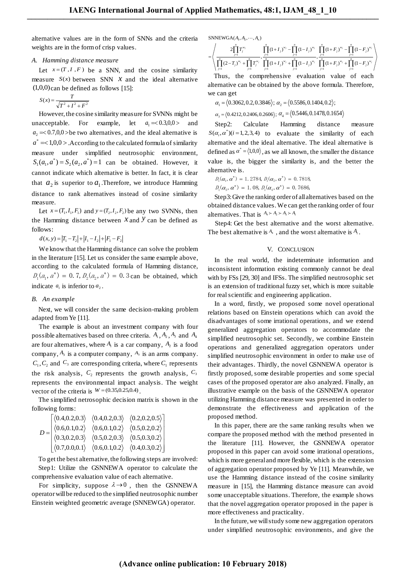alternative values are in the form of SNNs and the criteria weights are in the form of crisp values.

## *A. Hamming distance measure*

Let  $x = (T, I, F)$  be a SNN, and the cosine similarity measure  $S(x)$  between SNN  $\bar{x}$  and the ideal alternative (1,0,0) can be defined as follows [15]:

$$
S(x) = \frac{T}{\sqrt{T^2 + I^2 + F^2}}
$$

However, the cosine similarity measure for SVNNs might be unacceptable. For example, let  $a_1 = 0.3,0,0>$  and  $a_2 = 0.7, 0, 0$  > be two alternatives, and the ideal alternative is  $a^* = < 1,0,0 >$ . According to the calculated formula of similarity measure under simplified neutrosophic environment,  $S_1(a_1, a^*) = S_2(a_2, a^*) = 1$  can be obtained. However, it cannot indicate which alternative is better. In fact, it is clear that  $a_2$  is superior to  $a_1$ . Therefore, we introduce Hamming distance to rank alternatives instead of cosine similarity measure.

Let  $x = (T_1, I_1, F_1)$  and  $y = (T_2, I_2, F_2)$  be any two SVNNs, then the Hamming distance between  $x$  and  $y$  can be defined as follows:

 $d(x, y) = |T_1 - T_2| + |I_1 - I_2| + |F_1 - F_2|$ 

We know that the Hamming distance can solve the problem in the literature [15]. Let us consider the same example above, according to the calculated formula of Hamming distance,  $D_1(a_1, a^*) = 0.7, D_2(a_2, a^*) = 0.3$  can be obtained, which indicate  $a_1$  is inferior to  $a_2$ .

#### *B. An example*

Next, we will consider the same decision-making problem adapted from Ye [\[11\].](#page-5-5)

The example is about an investment company with four possible alternatives based on three criteria.  $A_1$ ,  $A_2$ ,  $A_3$  and  $A_4$ are four alternatives, where  $A_1$  is a car company,  $A_2$  is a food company,  $A_3$  is a computer company,  $A_3$  is an arms company.  $C_1$ ,  $C_2$  and  $C_3$  are corresponding criteria, where  $C_1$  represents the risk analysis,  $C_2$  represents the growth analysis,  $C_3$ represents the environmental impact analysis. The weight vector of the criteria is  $W = (0.35, 0.25, 0.4)$ .

The simplified netrosophic decision matrix is shown in the following forms:

|  |  | $\left[ \langle 0.4, 0.2, 0.3 \rangle \right] \langle 0.4, 0.2, 0.3 \rangle \langle 0.2, 0.2, 0.5 \rangle$                                                                                                                                         |
|--|--|----------------------------------------------------------------------------------------------------------------------------------------------------------------------------------------------------------------------------------------------------|
|  |  |                                                                                                                                                                                                                                                    |
|  |  | $D = \begin{array}{ccc} \left  \langle 0.6, 0.1, 0.2 \rangle & \langle 0.6, 0.1, 0.2 \rangle & \langle 0.5, 0.2, 0.2 \rangle \\ \langle 0.3, 0.2, 0.3 \rangle & \langle 0.5, 0.2, 0.3 \rangle & \langle 0.5, 0.3, 0.2 \rangle \end{array} \right $ |
|  |  | $ \langle 0.7, 0.0, 0.1 \rangle \langle 0.6, 0.1, 0.2 \rangle \langle 0.4, 0.3, 0.2 \rangle  $                                                                                                                                                     |

To get the best alternative, the following steps are involved: Step1: Utilize the GSNNEWA operator to calculate the comprehensive evaluation value of each alternative.

For simplicity, suppose  $\lambda \rightarrow 0$ , then the GSNNEWA operator will be reduced to the simplified neutrosophic number Einstein weighted geometric average (SNNEWGA) operator.

 $SNNEWGA(A_1, A_2, \dots, A_n)$ 

$$
\begin{split} & \text{SNNEWGA}(A_\text{i}, A_\text{2}, \cdots, A_\text{n}) \\ = & \left\langle \frac{2\displaystyle \prod_{j=1}^n T_j^{w_j}}{\displaystyle \prod_{j=1}^n (2-T_j)^{w_j} + \displaystyle \prod_{j=1}^n T_j^{w_j}}, \frac{\displaystyle \prod_{j=1}^n (1+I_j)^{w_j} - \displaystyle \prod_{j=1}^n (1-I_j)^{w_j}}{\displaystyle \prod_{j=1}^n (1+I_j)^{w_j} + \displaystyle \prod_{j=1}^n (1+I_j)^{w_j}} , \frac{\displaystyle \prod_{j=1}^n (1+F_j)^{w_j} - \displaystyle \prod_{j=1}^n (1-F_j)^{w_j}}{\displaystyle \prod_{j=1}^n (1+F_j)^{w_j} + \displaystyle \prod_{j=1}^n (1-F_j)^{w_j}} \right\rangle \end{split}
$$

 Thus, the comprehensive evaluation value of each alternative can be obtained by the above formula. Therefore, we can get

 $\alpha_1 = \langle 0.3062, 0.2, 0.3846 \rangle$ ;  $\alpha_2 = \langle 0.5586, 0.1404, 0.2 \rangle$ ;

 $\alpha_3 = \langle 0.4212, 0.2406, 0.2606 \rangle$ ;  $\alpha_4 = \langle 0.5446, 0.1478, 0.1654 \rangle$ 

Step2: Calculate Hamming distance measure  $S(\alpha_i, \alpha^*)(i=1,2,3,4)$  to evaluate the similarity of each alternative and the ideal alternative. The ideal alternative is defined as  $\alpha^* = \langle 1,0,0 \rangle$ , as we all known, the smaller the distance value is, the bigger the similarity is, and the better the alternative is.

 $D_1(\alpha_1, \alpha^*) = 1.2784, D_1(\alpha_2, \alpha^*) = 0.7818,$ 

 $D_1(\alpha_3, \alpha^*) = 1.08, D_1(\alpha_4, \alpha^*) = 0.7686,$ 

Step3: Give the ranking order of all alternatives based on the obtained distance values. We can get the ranking order of four alternatives. That is  $A_4 \succ A_2 \succ A_3 \succ A_1$ 

Step4: Get the best alternative and the worst alternative. The best alternative is  $A_4$ , and the worst alternative is  $A_1$ .

# V. CONCLUSION

In the real world, the indeterminate information and inconsistent information existing commonly cannot be deal with by FSs [29, 30] and IFSs. The simplified neutrosophic set is an extension of traditional fuzzy set, which is more suitable for real scientific and engineering application.

In a word, firstly, we proposed some novel operational relations based on Einstein operations which can avoid the disadvantages of some irrational operations, and we extend generalized aggregation operators to accommodate the simplified neutrosophic set. Secondly, we combine Einstein operations and generalized aggregation operators under simplified neutrosophic environment in order to make use of their advantages. Thirdly, the novel GSNNEWA operator is firstly proposed, some desirable properties and some special cases of the proposed operator are also analyzed. Finally, an illustrative example on the basis of the GSNNEWA operator utilizing Hamming distance measure was presented in order to demonstrate the effectiveness and application of the proposed method.

In this paper, there are the same ranking results when we compare the proposed method with the method presented in the literature [11]. However, the GSNNEWA operator proposed in this paper can avoid some irrational operations, which is more general and more flexible, which is the extension of aggregation operator proposed by Ye [11]. Meanwhile, we use the Hamming distance instead of the cosine similarity measure in [15], the Hamming distance measure can avoid some unacceptable situations. Therefore, the example shows that the novel aggregation operator proposed in the paper is more effectiveness and practicality.

In the future, we will study some new aggregation operators under simplified neutrosophic environments, and give the